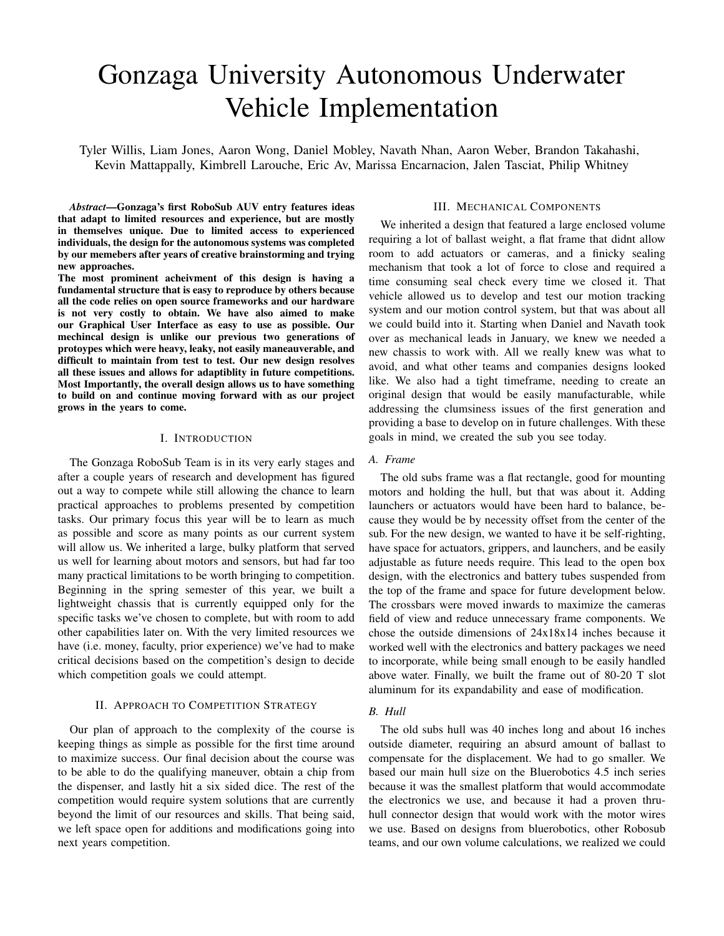# Gonzaga University Autonomous Underwater Vehicle Implementation

Tyler Willis, Liam Jones, Aaron Wong, Daniel Mobley, Navath Nhan, Aaron Weber, Brandon Takahashi, Kevin Mattappally, Kimbrell Larouche, Eric Av, Marissa Encarnacion, Jalen Tasciat, Philip Whitney

*Abstract*—Gonzaga's first RoboSub AUV entry features ideas that adapt to limited resources and experience, but are mostly in themselves unique. Due to limited access to experienced individuals, the design for the autonomous systems was completed by our memebers after years of creative brainstorming and trying new approaches.

The most prominent acheivment of this design is having a fundamental structure that is easy to reproduce by others because all the code relies on open source frameworks and our hardware is not very costly to obtain. We have also aimed to make our Graphical User Interface as easy to use as possible. Our mechincal design is unlike our previous two generations of protoypes which were heavy, leaky, not easily maneauverable, and difficult to maintain from test to test. Our new design resolves all these issues and allows for adaptiblity in future competitions. Most Importantly, the overall design allows us to have something to build on and continue moving forward with as our project grows in the years to come.

#### I. INTRODUCTION

The Gonzaga RoboSub Team is in its very early stages and after a couple years of research and development has figured out a way to compete while still allowing the chance to learn practical approaches to problems presented by competition tasks. Our primary focus this year will be to learn as much as possible and score as many points as our current system will allow us. We inherited a large, bulky platform that served us well for learning about motors and sensors, but had far too many practical limitations to be worth bringing to competition. Beginning in the spring semester of this year, we built a lightweight chassis that is currently equipped only for the specific tasks we've chosen to complete, but with room to add other capabilities later on. With the very limited resources we have (i.e. money, faculty, prior experience) we've had to make critical decisions based on the competition's design to decide which competition goals we could attempt.

# II. APPROACH TO COMPETITION STRATEGY

Our plan of approach to the complexity of the course is keeping things as simple as possible for the first time around to maximize success. Our final decision about the course was to be able to do the qualifying maneuver, obtain a chip from the dispenser, and lastly hit a six sided dice. The rest of the competition would require system solutions that are currently beyond the limit of our resources and skills. That being said, we left space open for additions and modifications going into next years competition.

#### III. MECHANICAL COMPONENTS

We inherited a design that featured a large enclosed volume requiring a lot of ballast weight, a flat frame that didnt allow room to add actuators or cameras, and a finicky sealing mechanism that took a lot of force to close and required a time consuming seal check every time we closed it. That vehicle allowed us to develop and test our motion tracking system and our motion control system, but that was about all we could build into it. Starting when Daniel and Navath took over as mechanical leads in January, we knew we needed a new chassis to work with. All we really knew was what to avoid, and what other teams and companies designs looked like. We also had a tight timeframe, needing to create an original design that would be easily manufacturable, while addressing the clumsiness issues of the first generation and providing a base to develop on in future challenges. With these goals in mind, we created the sub you see today.

# *A. Frame*

The old subs frame was a flat rectangle, good for mounting motors and holding the hull, but that was about it. Adding launchers or actuators would have been hard to balance, because they would be by necessity offset from the center of the sub. For the new design, we wanted to have it be self-righting, have space for actuators, grippers, and launchers, and be easily adjustable as future needs require. This lead to the open box design, with the electronics and battery tubes suspended from the top of the frame and space for future development below. The crossbars were moved inwards to maximize the cameras field of view and reduce unnecessary frame components. We chose the outside dimensions of 24x18x14 inches because it worked well with the electronics and battery packages we need to incorporate, while being small enough to be easily handled above water. Finally, we built the frame out of 80-20 T slot aluminum for its expandability and ease of modification.

# *B. Hull*

The old subs hull was 40 inches long and about 16 inches outside diameter, requiring an absurd amount of ballast to compensate for the displacement. We had to go smaller. We based our main hull size on the Bluerobotics 4.5 inch series because it was the smallest platform that would accommodate the electronics we use, and because it had a proven thruhull connector design that would work with the motor wires we use. Based on designs from bluerobotics, other Robosub teams, and our own volume calculations, we realized we could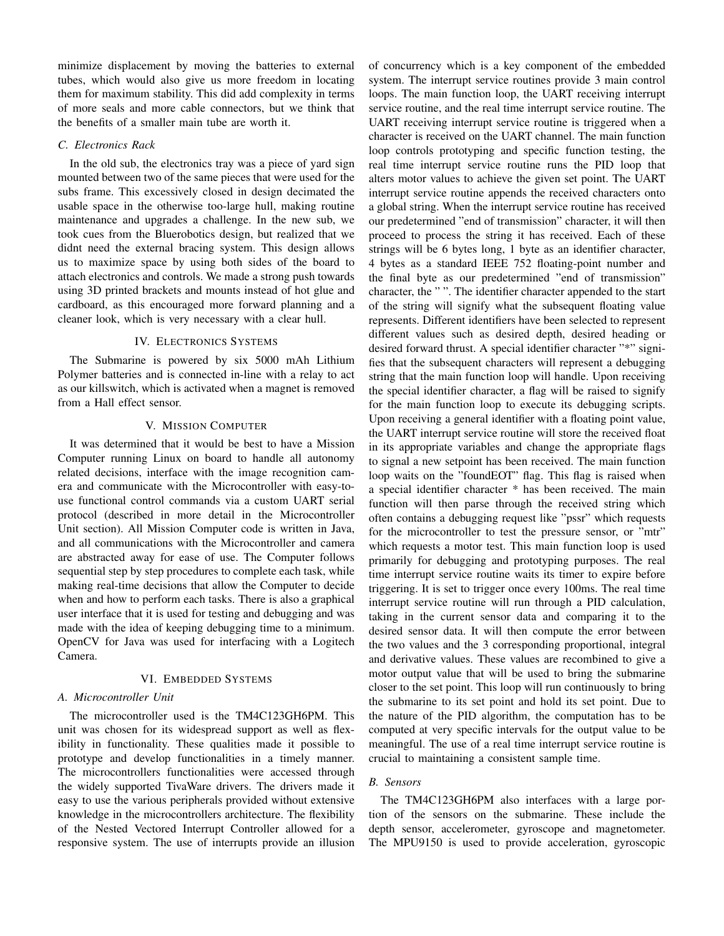minimize displacement by moving the batteries to external tubes, which would also give us more freedom in locating them for maximum stability. This did add complexity in terms of more seals and more cable connectors, but we think that the benefits of a smaller main tube are worth it.

# *C. Electronics Rack*

In the old sub, the electronics tray was a piece of yard sign mounted between two of the same pieces that were used for the subs frame. This excessively closed in design decimated the usable space in the otherwise too-large hull, making routine maintenance and upgrades a challenge. In the new sub, we took cues from the Bluerobotics design, but realized that we didnt need the external bracing system. This design allows us to maximize space by using both sides of the board to attach electronics and controls. We made a strong push towards using 3D printed brackets and mounts instead of hot glue and cardboard, as this encouraged more forward planning and a cleaner look, which is very necessary with a clear hull.

# IV. ELECTRONICS SYSTEMS

The Submarine is powered by six 5000 mAh Lithium Polymer batteries and is connected in-line with a relay to act as our killswitch, which is activated when a magnet is removed from a Hall effect sensor.

#### V. MISSION COMPUTER

It was determined that it would be best to have a Mission Computer running Linux on board to handle all autonomy related decisions, interface with the image recognition camera and communicate with the Microcontroller with easy-touse functional control commands via a custom UART serial protocol (described in more detail in the Microcontroller Unit section). All Mission Computer code is written in Java, and all communications with the Microcontroller and camera are abstracted away for ease of use. The Computer follows sequential step by step procedures to complete each task, while making real-time decisions that allow the Computer to decide when and how to perform each tasks. There is also a graphical user interface that it is used for testing and debugging and was made with the idea of keeping debugging time to a minimum. OpenCV for Java was used for interfacing with a Logitech Camera.

## VI. EMBEDDED SYSTEMS

# *A. Microcontroller Unit*

The microcontroller used is the TM4C123GH6PM. This unit was chosen for its widespread support as well as flexibility in functionality. These qualities made it possible to prototype and develop functionalities in a timely manner. The microcontrollers functionalities were accessed through the widely supported TivaWare drivers. The drivers made it easy to use the various peripherals provided without extensive knowledge in the microcontrollers architecture. The flexibility of the Nested Vectored Interrupt Controller allowed for a responsive system. The use of interrupts provide an illusion

of concurrency which is a key component of the embedded system. The interrupt service routines provide 3 main control loops. The main function loop, the UART receiving interrupt service routine, and the real time interrupt service routine. The UART receiving interrupt service routine is triggered when a character is received on the UART channel. The main function loop controls prototyping and specific function testing, the real time interrupt service routine runs the PID loop that alters motor values to achieve the given set point. The UART interrupt service routine appends the received characters onto a global string. When the interrupt service routine has received our predetermined "end of transmission" character, it will then proceed to process the string it has received. Each of these strings will be 6 bytes long, 1 byte as an identifier character, 4 bytes as a standard IEEE 752 floating-point number and the final byte as our predetermined "end of transmission" character, the " ". The identifier character appended to the start of the string will signify what the subsequent floating value represents. Different identifiers have been selected to represent different values such as desired depth, desired heading or desired forward thrust. A special identifier character "\*" signifies that the subsequent characters will represent a debugging string that the main function loop will handle. Upon receiving the special identifier character, a flag will be raised to signify for the main function loop to execute its debugging scripts. Upon receiving a general identifier with a floating point value, the UART interrupt service routine will store the received float in its appropriate variables and change the appropriate flags to signal a new setpoint has been received. The main function loop waits on the "foundEOT" flag. This flag is raised when a special identifier character \* has been received. The main function will then parse through the received string which often contains a debugging request like "pssr" which requests for the microcontroller to test the pressure sensor, or "mtr" which requests a motor test. This main function loop is used primarily for debugging and prototyping purposes. The real time interrupt service routine waits its timer to expire before triggering. It is set to trigger once every 100ms. The real time interrupt service routine will run through a PID calculation, taking in the current sensor data and comparing it to the desired sensor data. It will then compute the error between the two values and the 3 corresponding proportional, integral and derivative values. These values are recombined to give a motor output value that will be used to bring the submarine closer to the set point. This loop will run continuously to bring the submarine to its set point and hold its set point. Due to the nature of the PID algorithm, the computation has to be computed at very specific intervals for the output value to be meaningful. The use of a real time interrupt service routine is crucial to maintaining a consistent sample time.

# *B. Sensors*

The TM4C123GH6PM also interfaces with a large portion of the sensors on the submarine. These include the depth sensor, accelerometer, gyroscope and magnetometer. The MPU9150 is used to provide acceleration, gyroscopic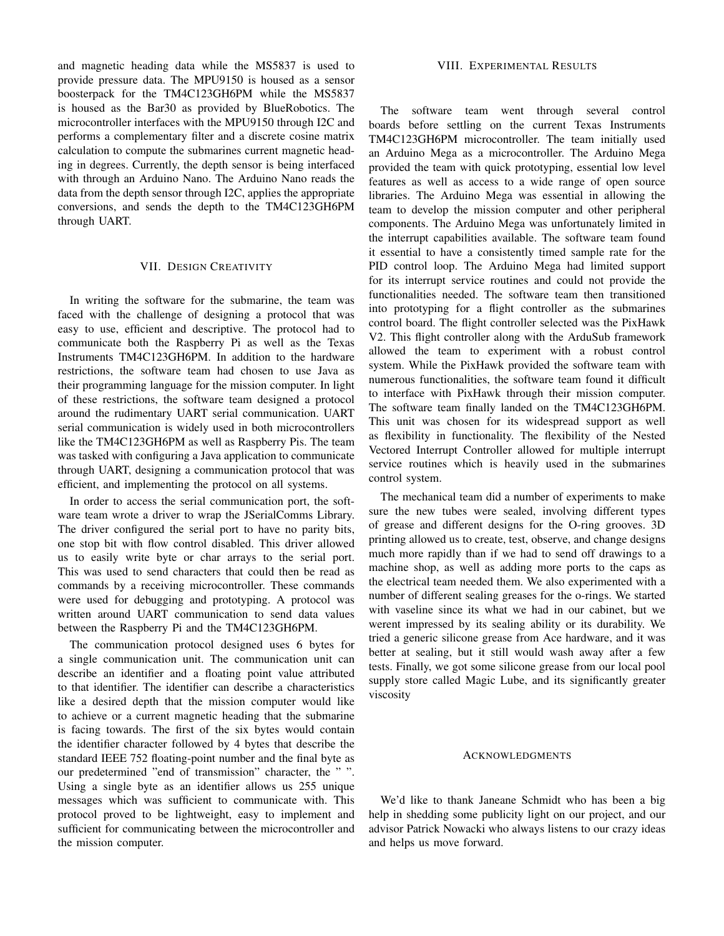and magnetic heading data while the MS5837 is used to provide pressure data. The MPU9150 is housed as a sensor boosterpack for the TM4C123GH6PM while the MS5837 is housed as the Bar30 as provided by BlueRobotics. The microcontroller interfaces with the MPU9150 through I2C and performs a complementary filter and a discrete cosine matrix calculation to compute the submarines current magnetic heading in degrees. Currently, the depth sensor is being interfaced with through an Arduino Nano. The Arduino Nano reads the data from the depth sensor through I2C, applies the appropriate conversions, and sends the depth to the TM4C123GH6PM through UART.

# VII. DESIGN CREATIVITY

In writing the software for the submarine, the team was faced with the challenge of designing a protocol that was easy to use, efficient and descriptive. The protocol had to communicate both the Raspberry Pi as well as the Texas Instruments TM4C123GH6PM. In addition to the hardware restrictions, the software team had chosen to use Java as their programming language for the mission computer. In light of these restrictions, the software team designed a protocol around the rudimentary UART serial communication. UART serial communication is widely used in both microcontrollers like the TM4C123GH6PM as well as Raspberry Pis. The team was tasked with configuring a Java application to communicate through UART, designing a communication protocol that was efficient, and implementing the protocol on all systems.

In order to access the serial communication port, the software team wrote a driver to wrap the JSerialComms Library. The driver configured the serial port to have no parity bits, one stop bit with flow control disabled. This driver allowed us to easily write byte or char arrays to the serial port. This was used to send characters that could then be read as commands by a receiving microcontroller. These commands were used for debugging and prototyping. A protocol was written around UART communication to send data values between the Raspberry Pi and the TM4C123GH6PM.

The communication protocol designed uses 6 bytes for a single communication unit. The communication unit can describe an identifier and a floating point value attributed to that identifier. The identifier can describe a characteristics like a desired depth that the mission computer would like to achieve or a current magnetic heading that the submarine is facing towards. The first of the six bytes would contain the identifier character followed by 4 bytes that describe the standard IEEE 752 floating-point number and the final byte as our predetermined "end of transmission" character, the " ". Using a single byte as an identifier allows us 255 unique messages which was sufficient to communicate with. This protocol proved to be lightweight, easy to implement and sufficient for communicating between the microcontroller and the mission computer.

# VIII. EXPERIMENTAL RESULTS

The software team went through several control boards before settling on the current Texas Instruments TM4C123GH6PM microcontroller. The team initially used an Arduino Mega as a microcontroller. The Arduino Mega provided the team with quick prototyping, essential low level features as well as access to a wide range of open source libraries. The Arduino Mega was essential in allowing the team to develop the mission computer and other peripheral components. The Arduino Mega was unfortunately limited in the interrupt capabilities available. The software team found it essential to have a consistently timed sample rate for the PID control loop. The Arduino Mega had limited support for its interrupt service routines and could not provide the functionalities needed. The software team then transitioned into prototyping for a flight controller as the submarines control board. The flight controller selected was the PixHawk V2. This flight controller along with the ArduSub framework allowed the team to experiment with a robust control system. While the PixHawk provided the software team with numerous functionalities, the software team found it difficult to interface with PixHawk through their mission computer. The software team finally landed on the TM4C123GH6PM. This unit was chosen for its widespread support as well as flexibility in functionality. The flexibility of the Nested Vectored Interrupt Controller allowed for multiple interrupt service routines which is heavily used in the submarines control system.

The mechanical team did a number of experiments to make sure the new tubes were sealed, involving different types of grease and different designs for the O-ring grooves. 3D printing allowed us to create, test, observe, and change designs much more rapidly than if we had to send off drawings to a machine shop, as well as adding more ports to the caps as the electrical team needed them. We also experimented with a number of different sealing greases for the o-rings. We started with vaseline since its what we had in our cabinet, but we werent impressed by its sealing ability or its durability. We tried a generic silicone grease from Ace hardware, and it was better at sealing, but it still would wash away after a few tests. Finally, we got some silicone grease from our local pool supply store called Magic Lube, and its significantly greater viscosity

#### ACKNOWLEDGMENTS

We'd like to thank Janeane Schmidt who has been a big help in shedding some publicity light on our project, and our advisor Patrick Nowacki who always listens to our crazy ideas and helps us move forward.